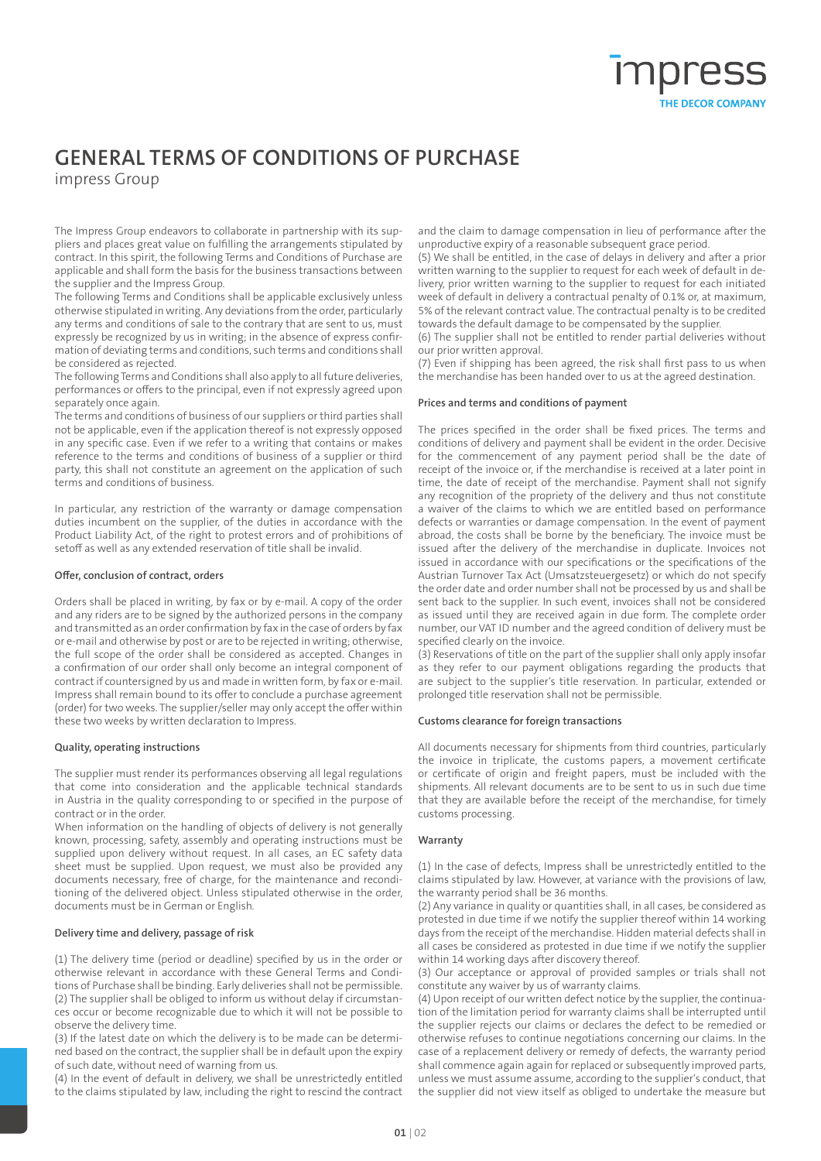# **GENERAL TERMS OF CONDITIONS OF PURCHASE**

impress Group

The Impress Group endeavors to collaborate in partnership with its suppliers and places great value on fulfilling the arrangements stipulated by contract. In this spirit, the following Terms and Conditions of Purchase are applicable and shall form the basis for the business transactions between the supplier and the Impress Group.

The following Terms and Conditions shall be applicable exclusively unless otherwise stipulated in writing. Any deviations from the order, particularly any terms and conditions of sale to the contrary that are sent to us, must expressly be recognized by us in writing; in the absence of express confirmation of deviating terms and conditions, such terms and conditions shall be considered as rejected.

The following Terms and Conditions shall also apply to all future deliveries, performances or offers to the principal, even if not expressly agreed upon separately once again.

The terms and conditions of business of our suppliers or third parties shall not be applicable, even if the application thereof is not expressly opposed in any specific case. Even if we refer to a writing that contains or makes reference to the terms and conditions of business of a supplier or third party, this shall not constitute an agreement on the application of such terms and conditions of business.

In particular, any restriction of the warranty or damage compensation duties incumbent on the supplier, of the duties in accordance with the Product Liability Act, of the right to protest errors and of prohibitions of setoff as well as any extended reservation of title shall be invalid.

## **Offer, conclusion of contract, orders**

Orders shall be placed in writing, by fax or by e-mail. A copy of the order and any riders are to be signed by the authorized persons in the company and transmitted as an order confirmation by fax in the case of orders by fax or e-mail and otherwise by post or are to be rejected in writing; otherwise, the full scope of the order shall be considered as accepted. Changes in a confirmation of our order shall only become an integral component of contract if countersigned by us and made in written form, by fax or e-mail. Impress shall remain bound to its offer to conclude a purchase agreement (order) for two weeks. The supplier/seller may only accept the offer within these two weeks by written declaration to Impress.

# **Quality, operating instructions**

The supplier must render its performances observing all legal regulations that come into consideration and the applicable technical standards in Austria in the quality corresponding to or specified in the purpose of contract or in the order.

When information on the handling of objects of delivery is not generally known, processing, safety, assembly and operating instructions must be supplied upon delivery without request. In all cases, an EC safety data sheet must be supplied. Upon request, we must also be provided any documents necessary, free of charge, for the maintenance and reconditioning of the delivered object. Unless stipulated otherwise in the order, documents must be in German or English.

# **Delivery time and delivery, passage of risk**

(1) The delivery time (period or deadline) specified by us in the order or otherwise relevant in accordance with these General Terms and Conditions of Purchase shall be binding. Early deliveries shall not be permissible. (2) The supplier shall be obliged to inform us without delay if circumstances occur or become recognizable due to which it will not be possible to observe the delivery time.

(3) If the latest date on which the delivery is to be made can be determined based on the contract, the supplier shall be in default upon the expiry of such date, without need of warning from us.

(4) In the event of default in delivery, we shall be unrestrictedly entitled to the claims stipulated by law, including the right to rescind the contract and the claim to damage compensation in lieu of performance after the unproductive expiry of a reasonable subsequent grace period.

(5) We shall be entitled, in the case of delays in delivery and after a prior written warning to the supplier to request for each week of default in delivery, prior written warning to the supplier to request for each initiated week of default in delivery a contractual penalty of 0.1% or, at maximum, 5% of the relevant contract value. The contractual penalty is to be credited towards the default damage to be compensated by the supplier.

(6) The supplier shall not be entitled to render partial deliveries without our prior written approval.

(7) Even if shipping has been agreed, the risk shall first pass to us when the merchandise has been handed over to us at the agreed destination.

## **Prices and terms and conditions of payment**

The prices specified in the order shall be fixed prices. The terms and conditions of delivery and payment shall be evident in the order. Decisive for the commencement of any payment period shall be the date of receipt of the invoice or, if the merchandise is received at a later point in time, the date of receipt of the merchandise. Payment shall not signify any recognition of the propriety of the delivery and thus not constitute a waiver of the claims to which we are entitled based on performance defects or warranties or damage compensation. In the event of payment abroad, the costs shall be borne by the beneficiary. The invoice must be issued after the delivery of the merchandise in duplicate. Invoices not issued in accordance with our specifications or the specifications of the Austrian Turnover Tax Act (Umsatzsteuergesetz) or which do not specify the order date and order number shall not be processed by us and shall be sent back to the supplier. In such event, invoices shall not be considered as issued until they are received again in due form. The complete order number, our VAT ID number and the agreed condition of delivery must be specified clearly on the invoice.

(3) Reservations of title on the part of the supplier shall only apply insofar as they refer to our payment obligations regarding the products that are subject to the supplier's title reservation. In particular, extended or prolonged title reservation shall not be permissible.

# **Customs clearance for foreign transactions**

All documents necessary for shipments from third countries, particularly the invoice in triplicate, the customs papers, a movement certificate or certificate of origin and freight papers, must be included with the shipments. All relevant documents are to be sent to us in such due time that they are available before the receipt of the merchandise, for timely customs processing.

# **Warranty**

(1) In the case of defects, Impress shall be unrestrictedly entitled to the claims stipulated by law. However, at variance with the provisions of law, the warranty period shall be 36 months.

(2) Any variance in quality or quantities shall, in all cases, be considered as protested in due time if we notify the supplier thereof within 14 working days from the receipt of the merchandise. Hidden material defects shall in all cases be considered as protested in due time if we notify the supplier within 14 working days after discovery thereof.

(3) Our acceptance or approval of provided samples or trials shall not constitute any waiver by us of warranty claims.

(4) Upon receipt of our written defect notice by the supplier, the continuation of the limitation period for warranty claims shall be interrupted until the supplier rejects our claims or declares the defect to be remedied or otherwise refuses to continue negotiations concerning our claims. In the case of a replacement delivery or remedy of defects, the warranty period shall commence again again for replaced or subsequently improved parts, unless we must assume assume, according to the supplier's conduct, that the supplier did not view itself as obliged to undertake the measure but